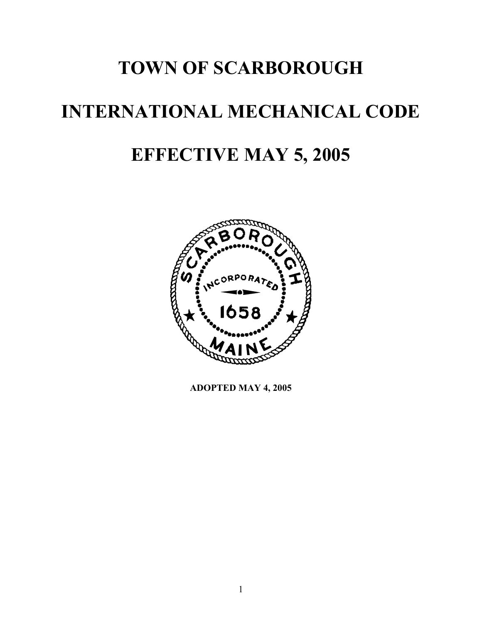# **TOWN OF SCARBOROUGH INTERNATIONAL MECHANICAL CODE EFFECTIVE MAY 5, 2005**



**ADOPTED MAY 4, 2005**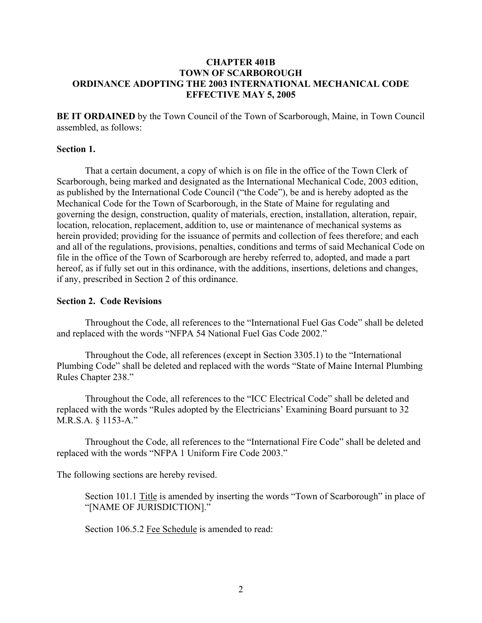## **CHAPTER 401B TOWN OF SCARBOROUGH ORDINANCE ADOPTING THE 2003 INTERNATIONAL MECHANICAL CODE EFFECTIVE MAY 5, 2005**

**BE IT ORDAINED** by the Town Council of the Town of Scarborough, Maine, in Town Council assembled, as follows:

### **Section 1.**

That a certain document, a copy of which is on file in the office of the Town Clerk of Scarborough, being marked and designated as the International Mechanical Code, 2003 edition, as published by the International Code Council ("the Code"), be and is hereby adopted as the Mechanical Code for the Town of Scarborough, in the State of Maine for regulating and governing the design, construction, quality of materials, erection, installation, alteration, repair, location, relocation, replacement, addition to, use or maintenance of mechanical systems as herein provided; providing for the issuance of permits and collection of fees therefore; and each and all of the regulations, provisions, penalties, conditions and terms of said Mechanical Code on file in the office of the Town of Scarborough are hereby referred to, adopted, and made a part hereof, as if fully set out in this ordinance, with the additions, insertions, deletions and changes, if any, prescribed in Section 2 of this ordinance.

#### **Section 2. Code Revisions**

Throughout the Code, all references to the "International Fuel Gas Code" shall be deleted and replaced with the words "NFPA 54 National Fuel Gas Code 2002."

Throughout the Code, all references (except in Section 3305.1) to the "International Plumbing Code" shall be deleted and replaced with the words "State of Maine Internal Plumbing Rules Chapter 238."

Throughout the Code, all references to the "ICC Electrical Code" shall be deleted and replaced with the words "Rules adopted by the Electricians' Examining Board pursuant to 32 M.R.S.A. § 1153-A."

Throughout the Code, all references to the "International Fire Code" shall be deleted and replaced with the words "NFPA 1 Uniform Fire Code 2003."

The following sections are hereby revised.

Section 101.1 Title is amended by inserting the words "Town of Scarborough" in place of "[NAME OF JURISDICTION]."

Section 106.5.2 Fee Schedule is amended to read: